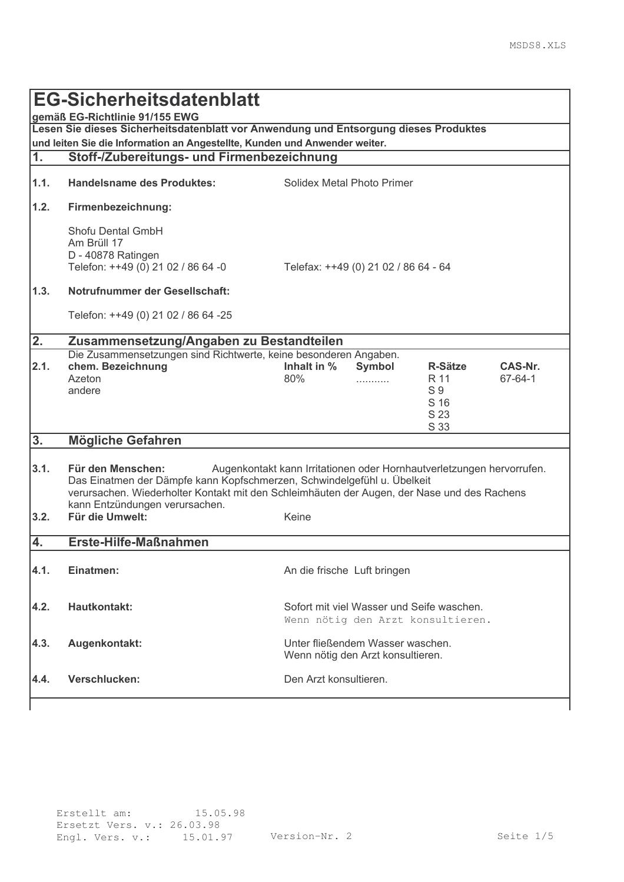| <b>EG-Sicherheitsdatenblatt</b>                                                                                                                                    |                                                                                                                                                                                                                                                                                                        |                                      |                                                                                |                                                                  |                    |
|--------------------------------------------------------------------------------------------------------------------------------------------------------------------|--------------------------------------------------------------------------------------------------------------------------------------------------------------------------------------------------------------------------------------------------------------------------------------------------------|--------------------------------------|--------------------------------------------------------------------------------|------------------------------------------------------------------|--------------------|
| gemäß EG-Richtlinie 91/155 EWG                                                                                                                                     |                                                                                                                                                                                                                                                                                                        |                                      |                                                                                |                                                                  |                    |
| Lesen Sie dieses Sicherheitsdatenblatt vor Anwendung und Entsorgung dieses Produktes<br>und leiten Sie die Information an Angestellte, Kunden und Anwender weiter. |                                                                                                                                                                                                                                                                                                        |                                      |                                                                                |                                                                  |                    |
| 1.                                                                                                                                                                 | Stoff-/Zubereitungs- und Firmenbezeichnung                                                                                                                                                                                                                                                             |                                      |                                                                                |                                                                  |                    |
|                                                                                                                                                                    |                                                                                                                                                                                                                                                                                                        |                                      |                                                                                |                                                                  |                    |
| 1.1.                                                                                                                                                               | <b>Handelsname des Produktes:</b>                                                                                                                                                                                                                                                                      | Solidex Metal Photo Primer           |                                                                                |                                                                  |                    |
| 1.2.                                                                                                                                                               | Firmenbezeichnung:                                                                                                                                                                                                                                                                                     |                                      |                                                                                |                                                                  |                    |
|                                                                                                                                                                    | Shofu Dental GmbH<br>Am Brüll 17<br>D - 40878 Ratingen<br>Telefon: ++49 (0) 21 02 / 86 64 -0                                                                                                                                                                                                           | Telefax: ++49 (0) 21 02 / 86 64 - 64 |                                                                                |                                                                  |                    |
| 1.3.                                                                                                                                                               | Notrufnummer der Gesellschaft:                                                                                                                                                                                                                                                                         |                                      |                                                                                |                                                                  |                    |
|                                                                                                                                                                    | Telefon: ++49 (0) 21 02 / 86 64 -25                                                                                                                                                                                                                                                                    |                                      |                                                                                |                                                                  |                    |
| 2.                                                                                                                                                                 | Zusammensetzung/Angaben zu Bestandteilen                                                                                                                                                                                                                                                               |                                      |                                                                                |                                                                  |                    |
| 2.1.                                                                                                                                                               | Die Zusammensetzungen sind Richtwerte, keine besonderen Angaben.<br>chem. Bezeichnung<br>Azeton<br>andere                                                                                                                                                                                              | Inhalt in %<br>80%                   | Symbol                                                                         | <b>R-Sätze</b><br>R 11<br>S <sub>9</sub><br>S 16<br>S 23<br>S 33 | CAS-Nr.<br>67-64-1 |
| 3.                                                                                                                                                                 | <b>Mögliche Gefahren</b>                                                                                                                                                                                                                                                                               |                                      |                                                                                |                                                                  |                    |
| 3.1.                                                                                                                                                               | Für den Menschen:<br>Augenkontakt kann Irritationen oder Hornhautverletzungen hervorrufen.<br>Das Einatmen der Dämpfe kann Kopfschmerzen, Schwindelgefühl u. Übelkeit<br>verursachen. Wiederholter Kontakt mit den Schleimhäuten der Augen, der Nase und des Rachens<br>kann Entzündungen verursachen. |                                      |                                                                                |                                                                  |                    |
| 3.2.                                                                                                                                                               | Für die Umwelt:                                                                                                                                                                                                                                                                                        | Keine                                |                                                                                |                                                                  |                    |
|                                                                                                                                                                    |                                                                                                                                                                                                                                                                                                        |                                      |                                                                                |                                                                  |                    |
| 4.                                                                                                                                                                 | Erste-Hilfe-Maßnahmen                                                                                                                                                                                                                                                                                  |                                      |                                                                                |                                                                  |                    |
| 4.1.                                                                                                                                                               | Einatmen:                                                                                                                                                                                                                                                                                              | An die frische Luft bringen          |                                                                                |                                                                  |                    |
| 4.2.                                                                                                                                                               | Hautkontakt:                                                                                                                                                                                                                                                                                           |                                      | Sofort mit viel Wasser und Seife waschen.<br>Wenn nötig den Arzt konsultieren. |                                                                  |                    |
| 4.3.                                                                                                                                                               | Augenkontakt:                                                                                                                                                                                                                                                                                          |                                      | Unter fließendem Wasser waschen.<br>Wenn nötig den Arzt konsultieren.          |                                                                  |                    |
| 4.4.                                                                                                                                                               | Verschlucken:                                                                                                                                                                                                                                                                                          | Den Arzt konsultieren.               |                                                                                |                                                                  |                    |
|                                                                                                                                                                    |                                                                                                                                                                                                                                                                                                        |                                      |                                                                                |                                                                  |                    |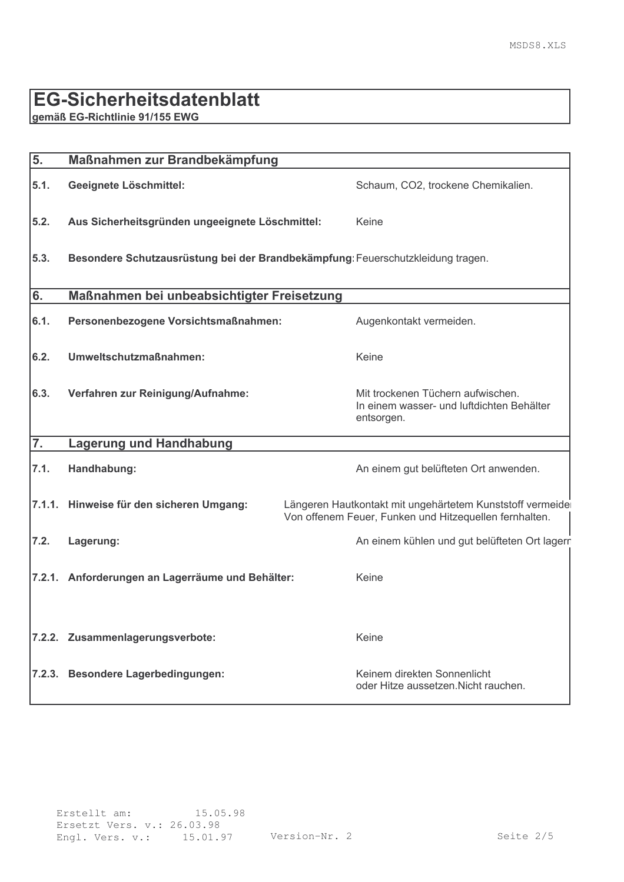### EG-Sicherheitsdatenblatt

gemäß EG-Richtlinie 91/155 EWG

| 5.               | Maßnahmen zur Brandbekämpfung                                                   |                                                                                                                     |  |  |  |
|------------------|---------------------------------------------------------------------------------|---------------------------------------------------------------------------------------------------------------------|--|--|--|
| 5.1.             | Geeignete Löschmittel:                                                          | Schaum, CO2, trockene Chemikalien.                                                                                  |  |  |  |
| 5.2.             | Aus Sicherheitsgründen ungeeignete Löschmittel:                                 | Keine                                                                                                               |  |  |  |
| 5.3.             | Besondere Schutzausrüstung bei der Brandbekämpfung: Feuerschutzkleidung tragen. |                                                                                                                     |  |  |  |
| 6.               | Maßnahmen bei unbeabsichtigter Freisetzung                                      |                                                                                                                     |  |  |  |
| 6.1.             | Personenbezogene Vorsichtsmaßnahmen:                                            | Augenkontakt vermeiden.                                                                                             |  |  |  |
| 6.2.             | Umweltschutzmaßnahmen:                                                          | Keine                                                                                                               |  |  |  |
| 6.3.             | Verfahren zur Reinigung/Aufnahme:                                               | Mit trockenen Tüchern aufwischen.<br>In einem wasser- und luftdichten Behälter<br>entsorgen.                        |  |  |  |
| $\overline{7}$ . | <b>Lagerung und Handhabung</b>                                                  |                                                                                                                     |  |  |  |
| 7.1.             | Handhabung:                                                                     | An einem gut belüfteten Ort anwenden.                                                                               |  |  |  |
| 7.1.1.           | Hinweise für den sicheren Umgang:                                               | Längeren Hautkontakt mit ungehärtetem Kunststoff vermeide<br>Von offenem Feuer, Funken und Hitzequellen fernhalten. |  |  |  |
| 7.2.             | Lagerung:                                                                       | An einem kühlen und gut belüfteten Ort lagern                                                                       |  |  |  |
|                  | 7.2.1. Anforderungen an Lagerräume und Behälter:                                | Keine                                                                                                               |  |  |  |
|                  | 7.2.2. Zusammenlagerungsverbote:                                                | Keine                                                                                                               |  |  |  |
| 7.2.3.           | <b>Besondere Lagerbedingungen:</b>                                              | Keinem direkten Sonnenlicht<br>oder Hitze aussetzen. Nicht rauchen.                                                 |  |  |  |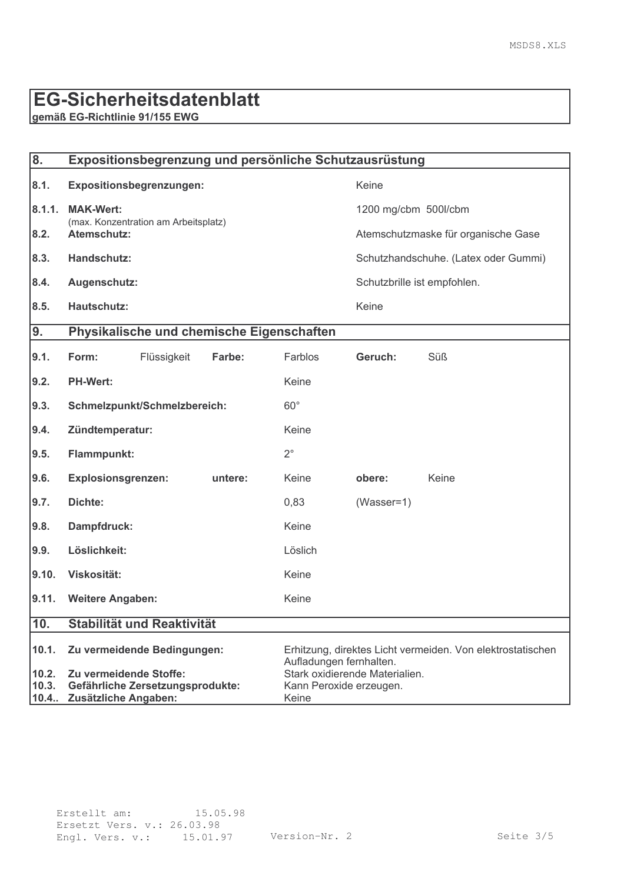## **EG-Sicherheitsdatenblatt**

gemäß EG-Richtlinie 91/155 EWG

| $\overline{\mathbf{8}}$ . | Expositionsbegrenzung und persönliche Schutzausrüstung   |             |                                                                                       |                                |                                      |       |  |
|---------------------------|----------------------------------------------------------|-------------|---------------------------------------------------------------------------------------|--------------------------------|--------------------------------------|-------|--|
| 8.1.                      | Expositionsbegrenzungen:                                 |             |                                                                                       | Keine                          |                                      |       |  |
| 8.1.1.                    | <b>MAK-Wert:</b><br>(max. Konzentration am Arbeitsplatz) |             |                                                                                       | 1200 mg/cbm 500l/cbm           |                                      |       |  |
| 8.2.                      | Atemschutz:                                              |             |                                                                                       |                                | Atemschutzmaske für organische Gase  |       |  |
| 8.3.                      | Handschutz:                                              |             |                                                                                       |                                | Schutzhandschuhe. (Latex oder Gummi) |       |  |
| 8.4.                      | Augenschutz:                                             |             |                                                                                       |                                | Schutzbrille ist empfohlen.          |       |  |
| 8.5.                      | Hautschutz:                                              |             |                                                                                       |                                | Keine                                |       |  |
| 9.                        |                                                          |             | Physikalische und chemische Eigenschaften                                             |                                |                                      |       |  |
| 9.1.                      | Form:                                                    | Flüssigkeit | Farbe:                                                                                | Farblos                        | Geruch:                              | Süß   |  |
| 9.2.                      | <b>PH-Wert:</b>                                          |             |                                                                                       | Keine                          |                                      |       |  |
| 9.3.                      | Schmelzpunkt/Schmelzbereich:                             |             |                                                                                       | $60^\circ$                     |                                      |       |  |
| 9.4.                      | Zündtemperatur:                                          |             |                                                                                       | Keine                          |                                      |       |  |
| 9.5.                      | Flammpunkt:                                              |             |                                                                                       | $2^{\circ}$                    |                                      |       |  |
| 9.6.                      | <b>Explosionsgrenzen:</b>                                |             | untere:                                                                               | Keine                          | obere:                               | Keine |  |
| 9.7.                      | Dichte:                                                  |             |                                                                                       | 0,83                           | $(Wasser=1)$                         |       |  |
| 9.8.                      | Dampfdruck:                                              |             |                                                                                       | Keine                          |                                      |       |  |
| 9.9.                      | Löslichkeit:                                             |             |                                                                                       | Löslich                        |                                      |       |  |
| 9.10.                     | Viskosität:                                              |             |                                                                                       | Keine                          |                                      |       |  |
| 9.11.                     | <b>Weitere Angaben:</b>                                  |             |                                                                                       | Keine                          |                                      |       |  |
| 10.                       | Stabilität und Reaktivität                               |             |                                                                                       |                                |                                      |       |  |
| 10.1.                     | Zu vermeidende Bedingungen:                              |             | Erhitzung, direktes Licht vermeiden. Von elektrostatischen<br>Aufladungen fernhalten. |                                |                                      |       |  |
| 10.2.                     | Zu vermeidende Stoffe:                                   |             |                                                                                       | Stark oxidierende Materialien. |                                      |       |  |
| 10.3.                     | Gefährliche Zersetzungsprodukte:                         |             |                                                                                       | Kann Peroxide erzeugen.        |                                      |       |  |
| 10.4                      | Zusätzliche Angaben:                                     |             |                                                                                       | Keine                          |                                      |       |  |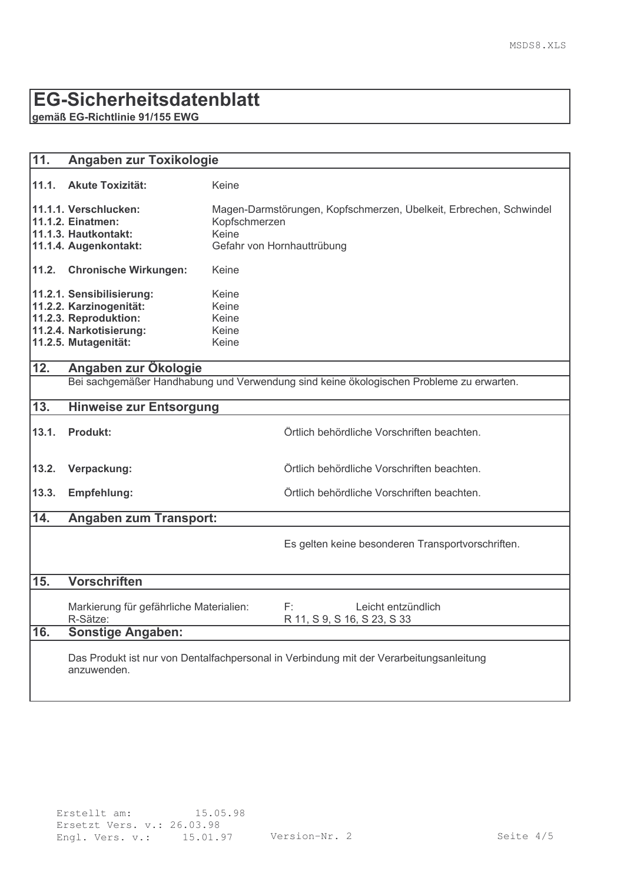### EG-Sicherheitsdatenblatt

gemäß EG-Richtlinie 91/155 EWG

| 11.               | Angaben zur Toxikologie                                                                                                          |                                                                                                                            |  |  |
|-------------------|----------------------------------------------------------------------------------------------------------------------------------|----------------------------------------------------------------------------------------------------------------------------|--|--|
| 11.1.             | <b>Akute Toxizität:</b>                                                                                                          | Keine                                                                                                                      |  |  |
|                   | 11.1.1. Verschlucken:<br><b>11.1.2. Einatmen:</b><br>11.1.3. Hautkontakt:<br>11.1.4. Augenkontakt:                               | Magen-Darmstörungen, Kopfschmerzen, Übelkeit, Erbrechen, Schwindel<br>Kopfschmerzen<br>Keine<br>Gefahr von Hornhauttrübung |  |  |
| 11.2.             | <b>Chronische Wirkungen:</b>                                                                                                     | Keine                                                                                                                      |  |  |
|                   | 11.2.1. Sensibilisierung:<br>11.2.2. Karzinogenität:<br>11.2.3. Reproduktion:<br>11.2.4. Narkotisierung:<br>11.2.5. Mutagenität: | Keine<br>Keine<br>Keine<br>Keine<br>Keine                                                                                  |  |  |
| $\overline{12}$ . | Angaben zur Ökologie                                                                                                             |                                                                                                                            |  |  |
|                   |                                                                                                                                  | Bei sachgemäßer Handhabung und Verwendung sind keine ökologischen Probleme zu erwarten.                                    |  |  |
| 13.               | <b>Hinweise zur Entsorgung</b>                                                                                                   |                                                                                                                            |  |  |
| 13.1.             | <b>Produkt:</b>                                                                                                                  | Örtlich behördliche Vorschriften beachten.                                                                                 |  |  |
| 13.2.             | Verpackung:                                                                                                                      | Örtlich behördliche Vorschriften beachten.                                                                                 |  |  |
| 13.3.             | Empfehlung:                                                                                                                      | Örtlich behördliche Vorschriften beachten.                                                                                 |  |  |
| 14.               | <b>Angaben zum Transport:</b>                                                                                                    |                                                                                                                            |  |  |
|                   |                                                                                                                                  | Es gelten keine besonderen Transportvorschriften.                                                                          |  |  |
| 15.               | <b>Vorschriften</b>                                                                                                              |                                                                                                                            |  |  |
|                   | Markierung für gefährliche Materialien:<br>R-Sätze:                                                                              | F:<br>Leicht entzündlich<br>R 11, S 9, S 16, S 23, S 33                                                                    |  |  |
| 16.               | <b>Sonstige Angaben:</b>                                                                                                         |                                                                                                                            |  |  |
|                   | Das Produkt ist nur von Dentalfachpersonal in Verbindung mit der Verarbeitungsanleitung<br>anzuwenden.                           |                                                                                                                            |  |  |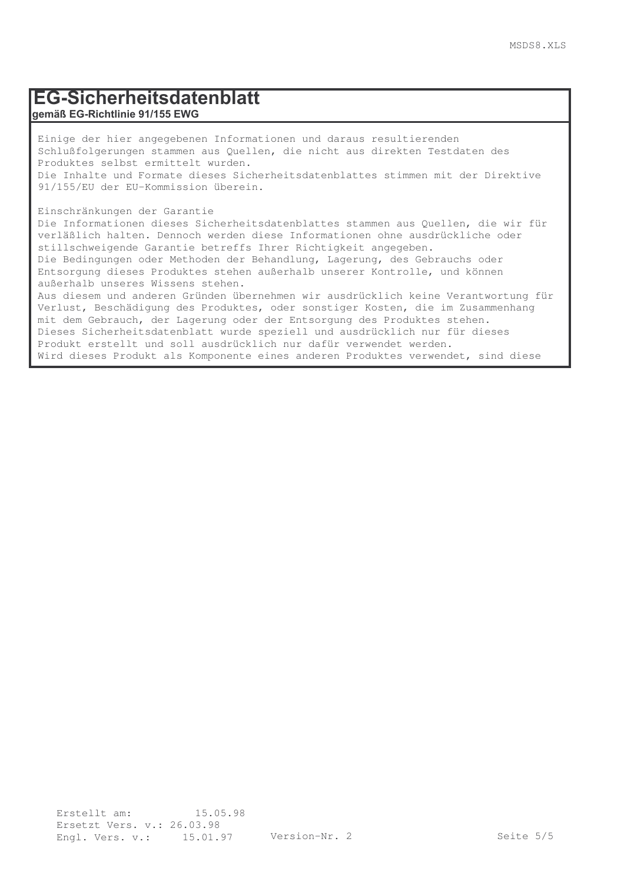#### EG-Sicherheitsdatenblatt gemäß EG-Richtlinie 91/155 EWG

Einige der hier angegebenen Informationen und daraus resultierenden Schlußfolgerungen stammen aus Quellen, die nicht aus direkten Testdaten des Produktes selbst ermittelt wurden. Die Inhalte und Formate dieses Sicherheitsdatenblattes stimmen mit der Direktive 91/155/EU der EU-Kommission überein.

Einschränkungen der Garantie

Informationen nicht anwendbar.

Die Informationen dieses Sicherheitsdatenblattes stammen aus Quellen, die wir für verläßlich halten. Dennoch werden diese Informationen ohne ausdrückliche oder stillschweigende Garantie betreffs Ihrer Richtigkeit angegeben. Die Bedingungen oder Methoden der Behandlung, Lagerung, des Gebrauchs oder Entsorgung dieses Produktes stehen außerhalb unserer Kontrolle, und können außerhalb unseres Wissens stehen. Aus diesem und anderen Gründen übernehmen wir ausdrücklich keine Verantwortung für Verlust, Beschädigung des Produktes, oder sonstiger Kosten, die im Zusammenhang mit dem Gebrauch, der Lagerung oder der Entsorgung des Produktes stehen. Dieses Sicherheitsdatenblatt wurde speziell und ausdrücklich nur für dieses

Produkt erstellt und soll ausdrücklich nur dafür verwendet werden.

Wird dieses Produkt als Komponente eines anderen Produktes verwendet, sind diese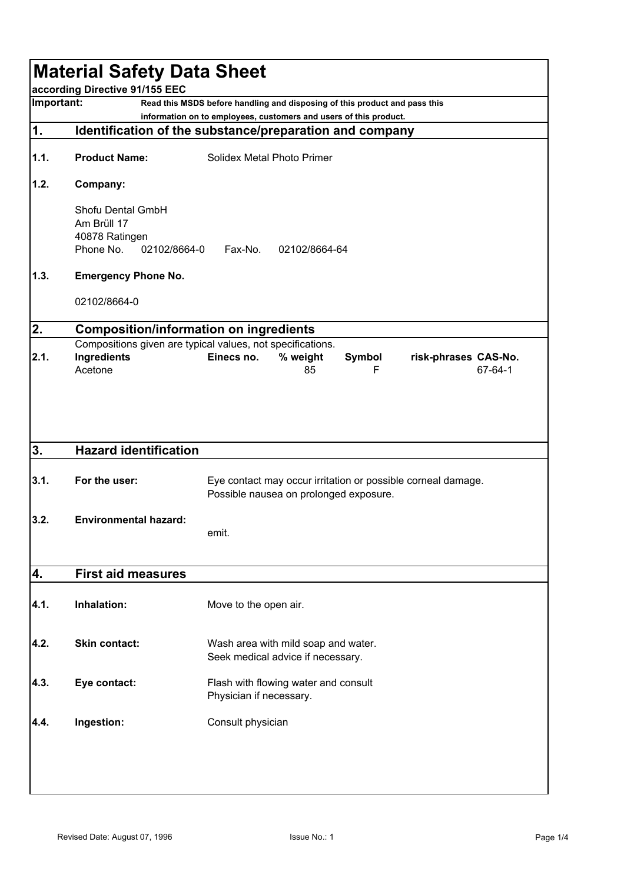|                                                                                                                                                               | <b>Material Safety Data Sheet</b><br>according Directive 91/155 EEC |                                                                          |  |  |  |  |
|---------------------------------------------------------------------------------------------------------------------------------------------------------------|---------------------------------------------------------------------|--------------------------------------------------------------------------|--|--|--|--|
| Important:<br>Read this MSDS before handling and disposing of this product and pass this<br>information on to employees, customers and users of this product. |                                                                     |                                                                          |  |  |  |  |
| 1.                                                                                                                                                            |                                                                     | Identification of the substance/preparation and company                  |  |  |  |  |
| 1.1.                                                                                                                                                          | <b>Product Name:</b>                                                | Solidex Metal Photo Primer                                               |  |  |  |  |
| 1.2.                                                                                                                                                          | Company:                                                            |                                                                          |  |  |  |  |
|                                                                                                                                                               |                                                                     |                                                                          |  |  |  |  |
|                                                                                                                                                               | Shofu Dental GmbH<br>Am Brüll 17                                    |                                                                          |  |  |  |  |
|                                                                                                                                                               | 40878 Ratingen                                                      |                                                                          |  |  |  |  |
|                                                                                                                                                               | Phone No.<br>02102/8664-0                                           | Fax-No.<br>02102/8664-64                                                 |  |  |  |  |
| 1.3.                                                                                                                                                          | <b>Emergency Phone No.</b>                                          |                                                                          |  |  |  |  |
|                                                                                                                                                               | 02102/8664-0                                                        |                                                                          |  |  |  |  |
| 2.                                                                                                                                                            |                                                                     | <b>Composition/information on ingredients</b>                            |  |  |  |  |
|                                                                                                                                                               |                                                                     | Compositions given are typical values, not specifications.               |  |  |  |  |
| 2.1.                                                                                                                                                          | Ingredients                                                         | Einecs no.<br>% weight<br>Symbol<br>risk-phrases CAS-No.                 |  |  |  |  |
|                                                                                                                                                               | Acetone                                                             | 67-64-1<br>85<br>F                                                       |  |  |  |  |
|                                                                                                                                                               |                                                                     |                                                                          |  |  |  |  |
|                                                                                                                                                               |                                                                     |                                                                          |  |  |  |  |
|                                                                                                                                                               |                                                                     |                                                                          |  |  |  |  |
| 3.                                                                                                                                                            | <b>Hazard identification</b>                                        |                                                                          |  |  |  |  |
|                                                                                                                                                               |                                                                     |                                                                          |  |  |  |  |
| 3.1.                                                                                                                                                          | For the user:                                                       | Eye contact may occur irritation or possible corneal damage.             |  |  |  |  |
|                                                                                                                                                               |                                                                     | Possible nausea on prolonged exposure.                                   |  |  |  |  |
|                                                                                                                                                               |                                                                     |                                                                          |  |  |  |  |
| 3.2.                                                                                                                                                          | <b>Environmental hazard:</b>                                        |                                                                          |  |  |  |  |
|                                                                                                                                                               |                                                                     | emit.                                                                    |  |  |  |  |
|                                                                                                                                                               |                                                                     |                                                                          |  |  |  |  |
| 4.                                                                                                                                                            | <b>First aid measures</b>                                           |                                                                          |  |  |  |  |
| 4.1.                                                                                                                                                          | Inhalation:                                                         | Move to the open air.                                                    |  |  |  |  |
|                                                                                                                                                               |                                                                     |                                                                          |  |  |  |  |
|                                                                                                                                                               |                                                                     |                                                                          |  |  |  |  |
| 4.2.                                                                                                                                                          | <b>Skin contact:</b>                                                | Wash area with mild soap and water.<br>Seek medical advice if necessary. |  |  |  |  |
|                                                                                                                                                               |                                                                     |                                                                          |  |  |  |  |
| 4.3.                                                                                                                                                          | Eye contact:                                                        | Flash with flowing water and consult                                     |  |  |  |  |
|                                                                                                                                                               |                                                                     | Physician if necessary.                                                  |  |  |  |  |
|                                                                                                                                                               |                                                                     |                                                                          |  |  |  |  |
| 4.4.                                                                                                                                                          | Ingestion:                                                          | Consult physician                                                        |  |  |  |  |
|                                                                                                                                                               |                                                                     |                                                                          |  |  |  |  |
|                                                                                                                                                               |                                                                     |                                                                          |  |  |  |  |
|                                                                                                                                                               |                                                                     |                                                                          |  |  |  |  |
|                                                                                                                                                               |                                                                     |                                                                          |  |  |  |  |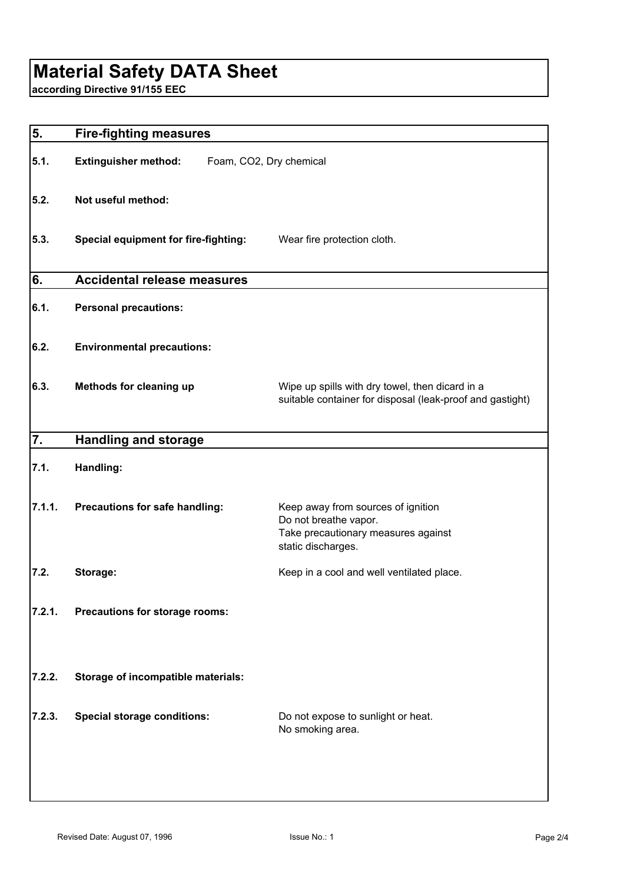# **Material Safety DATA Sheet**

**according Directive 91/155 EEC**

| 5.     | <b>Fire-fighting measures</b>                          |                                                                                                                          |  |
|--------|--------------------------------------------------------|--------------------------------------------------------------------------------------------------------------------------|--|
| 5.1.   | <b>Extinguisher method:</b><br>Foam, CO2, Dry chemical |                                                                                                                          |  |
| 5.2.   | Not useful method:                                     |                                                                                                                          |  |
| 5.3.   | <b>Special equipment for fire-fighting:</b>            | Wear fire protection cloth.                                                                                              |  |
| 6.     | <b>Accidental release measures</b>                     |                                                                                                                          |  |
| 6.1.   | <b>Personal precautions:</b>                           |                                                                                                                          |  |
| 6.2.   | <b>Environmental precautions:</b>                      |                                                                                                                          |  |
| 6.3.   | Methods for cleaning up                                | Wipe up spills with dry towel, then dicard in a<br>suitable container for disposal (leak-proof and gastight)             |  |
| 7.     | <b>Handling and storage</b>                            |                                                                                                                          |  |
| 7.1.   | Handling:                                              |                                                                                                                          |  |
| 7.1.1. | Precautions for safe handling:                         | Keep away from sources of ignition<br>Do not breathe vapor.<br>Take precautionary measures against<br>static discharges. |  |
| 7.2.   | Storage:                                               | Keep in a cool and well ventilated place.                                                                                |  |
| 7.2.1. | Precautions for storage rooms:                         |                                                                                                                          |  |
| 7.2.2. | Storage of incompatible materials:                     |                                                                                                                          |  |
| 7.2.3. | <b>Special storage conditions:</b>                     | Do not expose to sunlight or heat.<br>No smoking area.                                                                   |  |
|        |                                                        |                                                                                                                          |  |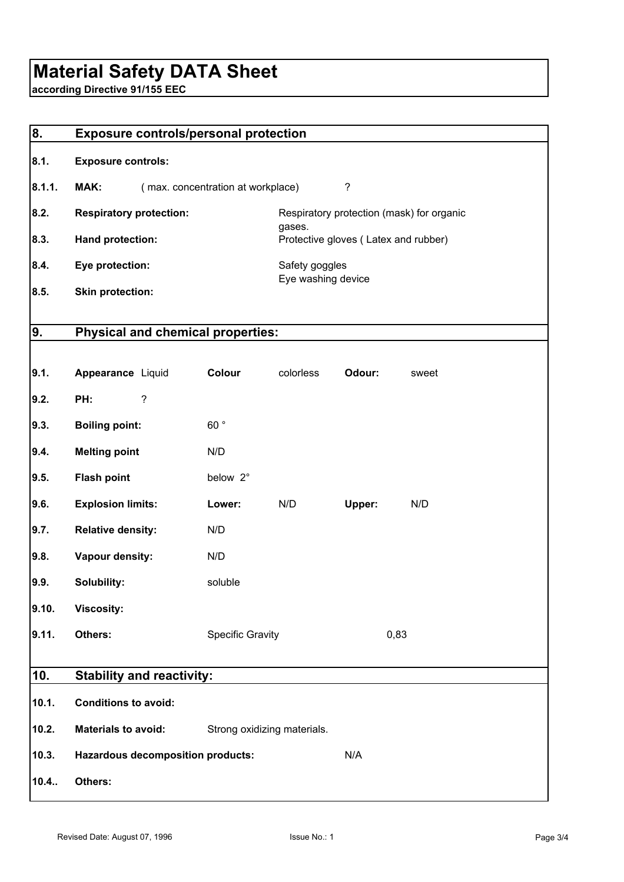# **Material Safety DATA Sheet**

**according Directive 91/155 EEC**

| 8.     | <b>Exposure controls/personal protection</b> |                                   |                                      |        |                                           |  |
|--------|----------------------------------------------|-----------------------------------|--------------------------------------|--------|-------------------------------------------|--|
| 8.1.   | <b>Exposure controls:</b>                    |                                   |                                      |        |                                           |  |
| 8.1.1. | MAK:                                         | (max. concentration at workplace) |                                      | ?      |                                           |  |
| 8.2.   | <b>Respiratory protection:</b>               |                                   |                                      |        | Respiratory protection (mask) for organic |  |
| 8.3.   | Hand protection:                             |                                   | gases.                               |        | Protective gloves (Latex and rubber)      |  |
| 8.4.   | Eye protection:                              |                                   | Safety goggles<br>Eye washing device |        |                                           |  |
| 8.5.   | <b>Skin protection:</b>                      |                                   |                                      |        |                                           |  |
| 9.     | <b>Physical and chemical properties:</b>     |                                   |                                      |        |                                           |  |
|        |                                              |                                   |                                      |        |                                           |  |
| 9.1.   | Appearance Liquid                            | Colour                            | colorless                            | Odour: | sweet                                     |  |
| 9.2.   | $\overline{\phantom{0}}$<br>PH:              |                                   |                                      |        |                                           |  |
| 9.3.   | <b>Boiling point:</b>                        | 60°                               |                                      |        |                                           |  |
| 9.4.   | <b>Melting point</b>                         | N/D                               |                                      |        |                                           |  |
| 9.5.   | <b>Flash point</b>                           | below 2°                          |                                      |        |                                           |  |
| 9.6.   | <b>Explosion limits:</b>                     | Lower:                            | N/D                                  | Upper: | N/D                                       |  |
| 9.7.   | <b>Relative density:</b>                     | N/D                               |                                      |        |                                           |  |
| 9.8.   | Vapour density:                              | N/D                               |                                      |        |                                           |  |
| 9.9.   | Solubility:                                  | soluble                           |                                      |        |                                           |  |
| 9.10.  | <b>Viscosity:</b>                            |                                   |                                      |        |                                           |  |
| 9.11.  | Others:                                      | <b>Specific Gravity</b>           |                                      |        | 0,83                                      |  |
| 10.    | <b>Stability and reactivity:</b>             |                                   |                                      |        |                                           |  |
| 10.1.  | <b>Conditions to avoid:</b>                  |                                   |                                      |        |                                           |  |
| 10.2.  | <b>Materials to avoid:</b>                   | Strong oxidizing materials.       |                                      |        |                                           |  |
| 10.3.  | <b>Hazardous decomposition products:</b>     |                                   |                                      | N/A    |                                           |  |
| 10.4.  | Others:                                      |                                   |                                      |        |                                           |  |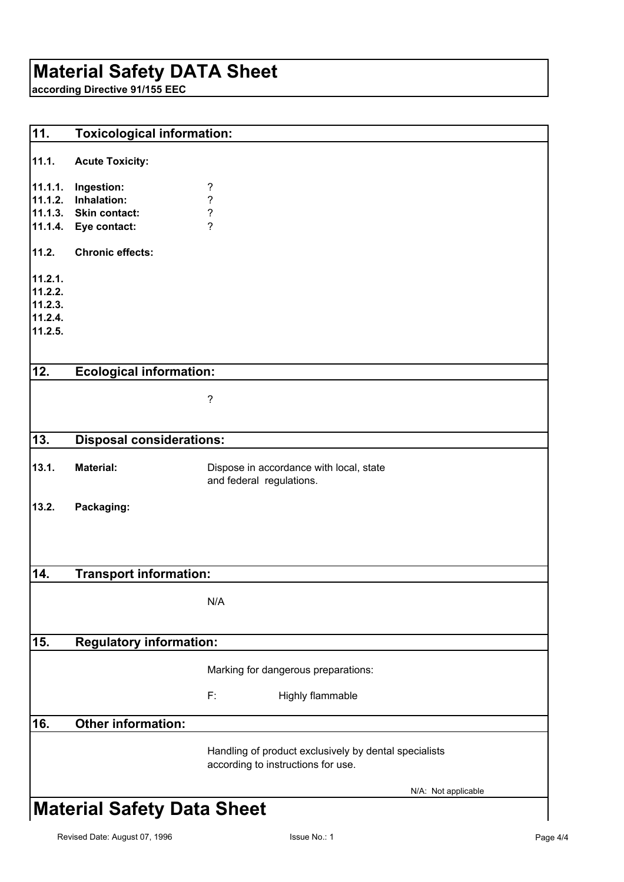## **Material Safety DATA Sheet**

**according Directive 91/155 EEC**

| 11.                                                 | <b>Toxicological information:</b>                                  |                                                                                             |  |
|-----------------------------------------------------|--------------------------------------------------------------------|---------------------------------------------------------------------------------------------|--|
| 11.1.                                               | <b>Acute Toxicity:</b>                                             |                                                                                             |  |
| 11.1.1.<br>11.1.2.<br>11.1.4.                       | Ingestion:<br>Inhalation:<br>11.1.3. Skin contact:<br>Eye contact: | ?<br>$\ddot{\phantom{0}}$<br>$\overline{\mathcal{C}}$<br>$\overline{?}$                     |  |
| 11.2.                                               | <b>Chronic effects:</b>                                            |                                                                                             |  |
| 11.2.1.<br>11.2.2.<br>11.2.3.<br>11.2.4.<br>11.2.5. |                                                                    |                                                                                             |  |
| 12.                                                 | <b>Ecological information:</b>                                     |                                                                                             |  |
|                                                     |                                                                    | $\overline{\mathcal{E}}$                                                                    |  |
| 13.                                                 | <b>Disposal considerations:</b>                                    |                                                                                             |  |
| 13.1.                                               | <b>Material:</b>                                                   | Dispose in accordance with local, state<br>and federal regulations.                         |  |
| 13.2.                                               | Packaging:                                                         |                                                                                             |  |
| 14.                                                 | <b>Transport information:</b>                                      |                                                                                             |  |
|                                                     |                                                                    | N/A                                                                                         |  |
| 15.                                                 | <b>Regulatory information:</b>                                     |                                                                                             |  |
|                                                     |                                                                    | Marking for dangerous preparations:                                                         |  |
|                                                     |                                                                    | F:<br>Highly flammable                                                                      |  |
| 16.                                                 | <b>Other information:</b>                                          |                                                                                             |  |
|                                                     |                                                                    | Handling of product exclusively by dental specialists<br>according to instructions for use. |  |
|                                                     |                                                                    | N/A: Not applicable                                                                         |  |
|                                                     | <b>Material Safety Data Sheet</b>                                  |                                                                                             |  |